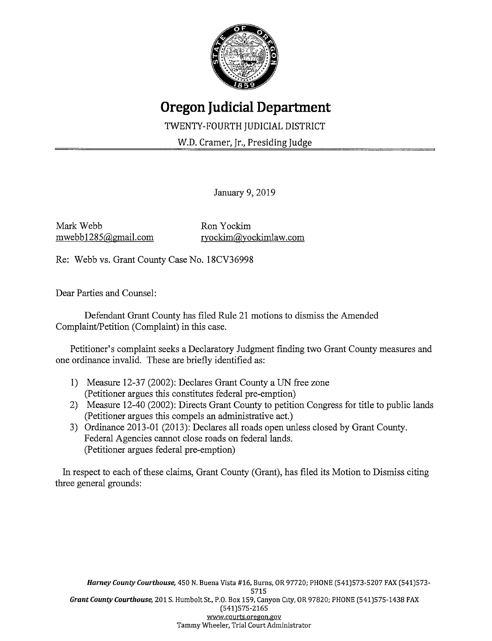

## **Oregon Judicial Department**

TWENTY-FOURTH JUDICIAL DISTRICT

W.D. Cramer, Jr., Presiding Judge

January 9, 2019

Mark Webb mwebb 1285@gmail.com

Ron Yockim ryockim@yockimlaw.com

Re: Webb vs. Grant County Case No. 18CV36998

Dear Parties and Counsel:

Defendant Grant County has filed Rule 21 motions to dismiss the Amended Complaint/Petition (Complaint) in this case.

Petitioner's complaint seeks a Declaratory Judgment finding two Grant County measures and one ordinance invalid. These are briefly identified as:

- 1) Measure 12-37 (2002): Declares Grant County a UN free zone (Petitioner argues this constitutes federal pre-emption)
- 2) Measure 12-40 (2002): Directs Grant County to petition Congress for title to public lands (Petitioner argues this compels an administrative act.)
- 3) Ordinance 2013-01 (2013): Declares all roads open unless closed by Grant County. Federal Agencies cannot close roads on federal lands. (Petitioner argues federal pre-emption)

In respect to each of these claims, Grant County (Grant), has filed its Motion to Dismiss citing three general grounds: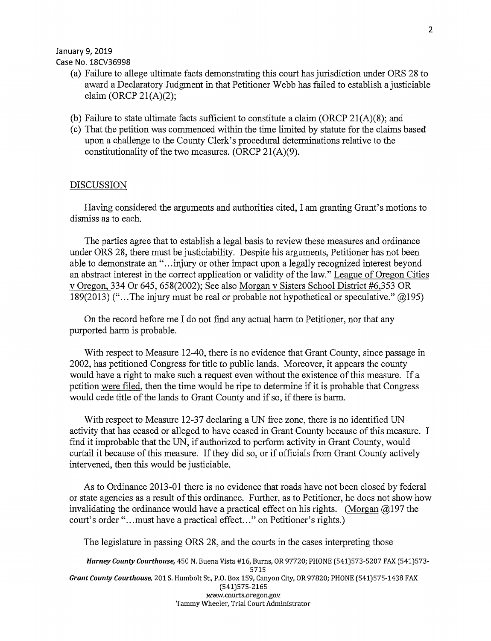Case No. 18CV36998

- (a) Failure to allege ultimate facts demonstrating this court has jurisdiction under ORS 28 to award a Declaratory Judgment in that Petitioner Webb has failed to establish a justiciable claim (ORCP  $21(A)(2)$ ;
- (b) Failure to state ultimate facts sufficient to constitute a claim (ORCP  $21(A)(8)$ ; and
- ( c) That the petition was commenced within the time limited by statute for the claims based upon a challenge to the County Clerk's procedural determinations relative to the constitutionality of the two measures. (ORCP 21(A)(9).

## DISCUSSION

Having considered the arguments and authorities cited, I am granting Grant's motions to dismiss as to each.

The parties agree that to establish a legal basis to review these measures and ordinance under ORS 28, there must be justiciability. Despite his arguments, Petitioner has not been able to demonstrate an "...injury or other impact upon a legally recognized interest beyond an abstract interest in the correct application or validity of the law." League of Oregon Cities v Oregon, 334 Or 645, 658(2002); See also Morgan v Sisters School District #6,353 OR 189(2013) ("... The injury must be real or probable not hypothetical or speculative."  $(20195)$ 

On the record before me I do not find any actual harm to Petitioner, nor that any purported harm is probable.

With respect to Measure 12-40, there is no evidence that Grant County, since passage in 2002, has petitioned Congress for title to public lands. Moreover, it appears the county would have a right to make such a request even without the existence of this measure. If a petition were filed, then the time would be ripe to determine if it is probable that Congress would cede title of the lands to Grant County and if so, if there is harm.

With respect to Measure 12-37 declaring a UN free zone, there is no identified UN activity that has ceased or alleged to have ceased in Grant County because of this measure. I find it improbable that the UN, if authorized to perform activity in Grant County, would curtail it because of this measure. If they did so, or if officials from Grant County actively intervened, then this would be justiciable.

As to Ordinance 2013-01 there is no evidence that roads have not been closed by federal or state agencies as a result of this ordinance. Further, as to Petitioner, he does not show how invalidating the ordinance would have a practical effect on his rights. (Morgan  $\omega$ 197 the court's order "... must have a practical effect..." on Petitioner's rights.)

The legislature in passing ORS 28, and the courts in the cases interpreting those

**Harney County Courthouse,** 450 N. Buena Vista #16, Burns, OR 97720; PHONE (541)573-5207 FAX (541)573- 5715 **Grant County Courthouse,** 201 S. Humbolt St., P.O. Box 159, Canyon City, OR 97820; PHONE (541)575-1438 FAX (541)575-2165 www.courts.oregon.gov Tammy Wheeler, Trial Court Administrator